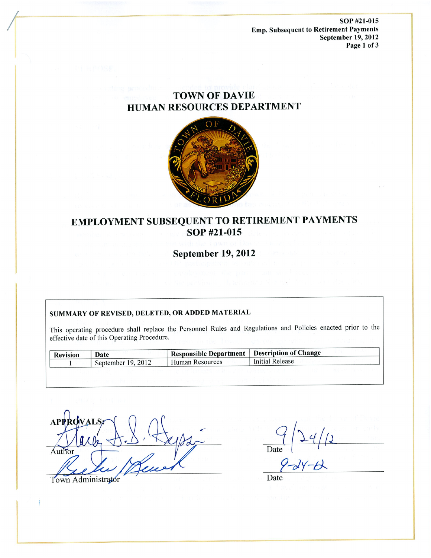SOP #21-015 **Emp. Subsequent to Retirement Payments** September 19, 2012 Page 1 of 3

# **TOWN OF DAVIE** HUMAN RESOURCES DEPARTMENT



# EMPLOYMENT SUBSEQUENT TO RETIREMENT PAYMENTS SOP #21-015

**September 19, 2012** 

# SUMMARY OF REVISED, DELETED, OR ADDED MATERIAL

This operating procedure shall replace the Personnel Rules and Regulations and Policies enacted prior to the effective date of this Operating Procedure.

| <b>Revision</b> | Date               | Responsible Department   Description of Change |                 |
|-----------------|--------------------|------------------------------------------------|-----------------|
|                 | September 19, 2012 | Human Resources                                | Initial Release |

Town Administrator

Date

Date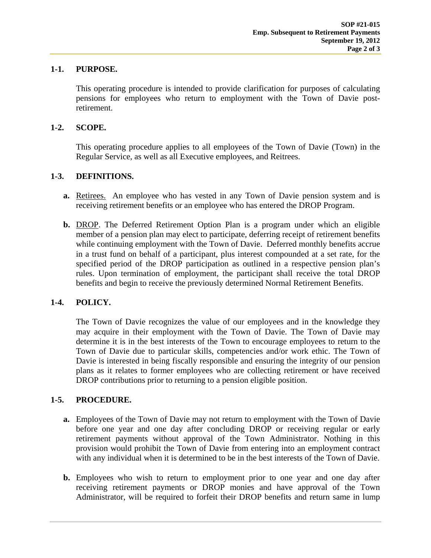# **1-1. PURPOSE.**

This operating procedure is intended to provide clarification for purposes of calculating pensions for employees who return to employment with the Town of Davie postretirement.

#### **1-2. SCOPE.**

This operating procedure applies to all employees of the Town of Davie (Town) in the Regular Service, as well as all Executive employees, and Reitrees.

# **1-3. DEFINITIONS.**

- **a.** Retirees. An employee who has vested in any Town of Davie pension system and is receiving retirement benefits or an employee who has entered the DROP Program.
- **b.** DROP. The Deferred Retirement Option Plan is a program under which an eligible member of a pension plan may elect to participate, deferring receipt of retirement benefits while continuing employment with the Town of Davie. Deferred monthly benefits accrue in a trust fund on behalf of a participant, plus interest compounded at a set rate, for the specified period of the DROP participation as outlined in a respective pension plan's rules. Upon termination of employment, the participant shall receive the total DROP benefits and begin to receive the previously determined Normal Retirement Benefits.

# **1-4. POLICY.**

The Town of Davie recognizes the value of our employees and in the knowledge they may acquire in their employment with the Town of Davie. The Town of Davie may determine it is in the best interests of the Town to encourage employees to return to the Town of Davie due to particular skills, competencies and/or work ethic. The Town of Davie is interested in being fiscally responsible and ensuring the integrity of our pension plans as it relates to former employees who are collecting retirement or have received DROP contributions prior to returning to a pension eligible position.

# **1-5. PROCEDURE.**

- **a.** Employees of the Town of Davie may not return to employment with the Town of Davie before one year and one day after concluding DROP or receiving regular or early retirement payments without approval of the Town Administrator. Nothing in this provision would prohibit the Town of Davie from entering into an employment contract with any individual when it is determined to be in the best interests of the Town of Davie.
- **b.** Employees who wish to return to employment prior to one year and one day after receiving retirement payments or DROP monies and have approval of the Town Administrator, will be required to forfeit their DROP benefits and return same in lump